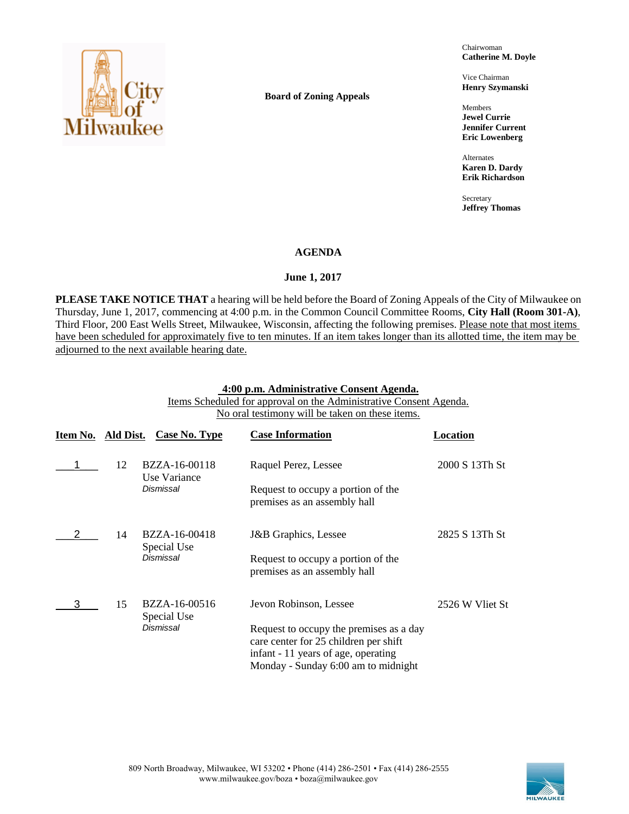

**Board of Zoning Appeals**

Chairwoman **Catherine M. Doyle**

Vice Chairman **Henry Szymanski**

Members **Jewel Currie Jennifer Current Eric Lowenberg**

Alternates **Karen D. Dardy Erik Richardson**

Secretary **Jeffrey Thomas**

### **AGENDA**

### **June 1, 2017**

**PLEASE TAKE NOTICE THAT** a hearing will be held before the Board of Zoning Appeals of the City of Milwaukee on Thursday, June 1, 2017, commencing at 4:00 p.m. in the Common Council Committee Rooms, **City Hall (Room 301-A)**, Third Floor, 200 East Wells Street, Milwaukee, Wisconsin, affecting the following premises. Please note that most items have been scheduled for approximately five to ten minutes. If an item takes longer than its allotted time, the item may be adjourned to the next available hearing date.

### **4:00 p.m. Administrative Consent Agenda.**

Items Scheduled for approval on the Administrative Consent Agenda. No oral testimony will be taken on these items.

| Item No. Ald Dist. |    | Case No. Type                 | <b>Case Information</b>                                                                                                                                        | Location        |
|--------------------|----|-------------------------------|----------------------------------------------------------------------------------------------------------------------------------------------------------------|-----------------|
|                    | 12 | BZZA-16-00118<br>Use Variance | Raquel Perez, Lessee                                                                                                                                           | 2000 S 13Th St  |
|                    |    | Dismissal                     | Request to occupy a portion of the<br>premises as an assembly hall                                                                                             |                 |
|                    | 14 | BZZA-16-00418                 | J&B Graphics, Lessee                                                                                                                                           | 2825 S 13Th St  |
|                    |    | Special Use<br>Dismissal      | Request to occupy a portion of the<br>premises as an assembly hall                                                                                             |                 |
|                    | 15 | BZZA-16-00516<br>Special Use  | Jevon Robinson, Lessee                                                                                                                                         | 2526 W Vliet St |
|                    |    | Dismissal                     | Request to occupy the premises as a day<br>care center for 25 children per shift<br>infant - 11 years of age, operating<br>Monday - Sunday 6:00 am to midnight |                 |

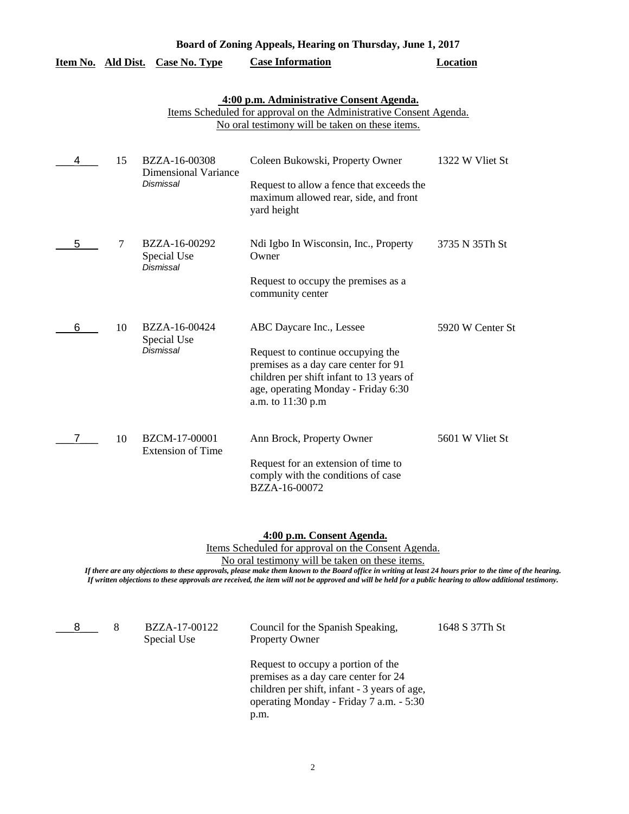| Board of Zoning Appeals, Hearing on Thursday, June 1, 2017 |           |                                                           |                                                                                                                                                                                                               |                  |
|------------------------------------------------------------|-----------|-----------------------------------------------------------|---------------------------------------------------------------------------------------------------------------------------------------------------------------------------------------------------------------|------------------|
| Item No.                                                   | Ald Dist. | <b>Case No. Type</b>                                      | <b>Case Information</b>                                                                                                                                                                                       | Location         |
|                                                            |           |                                                           | 4:00 p.m. Administrative Consent Agenda.<br>Items Scheduled for approval on the Administrative Consent Agenda.<br>No oral testimony will be taken on these items.                                             |                  |
| 4                                                          | 15        | BZZA-16-00308<br><b>Dimensional Variance</b><br>Dismissal | Coleen Bukowski, Property Owner<br>Request to allow a fence that exceeds the<br>maximum allowed rear, side, and front<br>yard height                                                                          | 1322 W Vliet St  |
| 5                                                          | 7         | BZZA-16-00292<br>Special Use<br>Dismissal                 | Ndi Igbo In Wisconsin, Inc., Property<br>Owner<br>Request to occupy the premises as a<br>community center                                                                                                     | 3735 N 35Th St   |
| 6                                                          | 10        | BZZA-16-00424<br>Special Use<br><b>Dismissal</b>          | ABC Daycare Inc., Lessee<br>Request to continue occupying the<br>premises as a day care center for 91<br>children per shift infant to 13 years of<br>age, operating Monday - Friday 6:30<br>a.m. to 11:30 p.m | 5920 W Center St |
|                                                            | 10        | BZCM-17-00001<br><b>Extension of Time</b>                 | Ann Brock, Property Owner<br>Request for an extension of time to<br>comply with the conditions of case<br>BZZA-16-00072                                                                                       | 5601 W Vliet St  |

#### **4:00 p.m. Consent Agenda.**

Items Scheduled for approval on the Consent Agenda.

No oral testimony will be taken on these items.

| 8 | BZZA-17-00122<br>Special Use | Council for the Spanish Speaking,<br><b>Property Owner</b>                                                                                                                    | 1648 S 37Th St |
|---|------------------------------|-------------------------------------------------------------------------------------------------------------------------------------------------------------------------------|----------------|
|   |                              | Request to occupy a portion of the<br>premises as a day care center for 24<br>children per shift, infant - 3 years of age,<br>operating Monday - Friday 7 a.m. - 5:30<br>p.m. |                |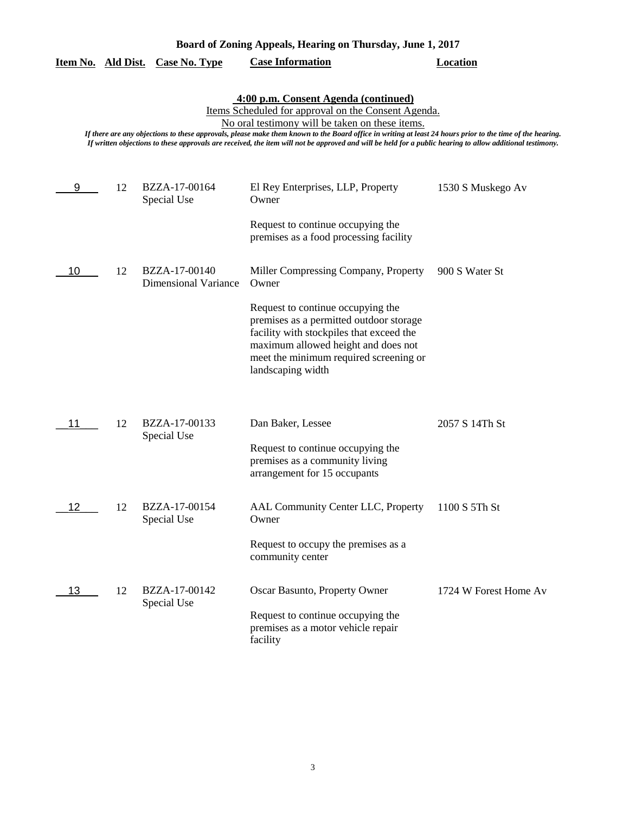| Board of Zoning Appeals, Hearing on Thursday, June 1, 2017 |  |
|------------------------------------------------------------|--|
|------------------------------------------------------------|--|

|    |    | <u>Item No. Ald Dist. Case No. Type</u>      | <b>Case Information</b>                                                                                                                                                                                                                                                                                                                                                                                                                                                  | Location              |
|----|----|----------------------------------------------|--------------------------------------------------------------------------------------------------------------------------------------------------------------------------------------------------------------------------------------------------------------------------------------------------------------------------------------------------------------------------------------------------------------------------------------------------------------------------|-----------------------|
|    |    |                                              | 4:00 p.m. Consent Agenda (continued)<br>Items Scheduled for approval on the Consent Agenda.<br>No oral testimony will be taken on these items.<br>If there are any objections to these approvals, please make them known to the Board office in writing at least 24 hours prior to the time of the hearing.<br>If written objections to these approvals are received, the item will not be approved and will be held for a public hearing to allow additional testimony. |                       |
| 9  | 12 | BZZA-17-00164<br>Special Use                 | El Rey Enterprises, LLP, Property<br>Owner                                                                                                                                                                                                                                                                                                                                                                                                                               | 1530 S Muskego Av     |
|    |    |                                              | Request to continue occupying the<br>premises as a food processing facility                                                                                                                                                                                                                                                                                                                                                                                              |                       |
| 10 | 12 | BZZA-17-00140<br><b>Dimensional Variance</b> | Miller Compressing Company, Property<br>Owner                                                                                                                                                                                                                                                                                                                                                                                                                            | 900 S Water St        |
|    |    |                                              | Request to continue occupying the<br>premises as a permitted outdoor storage<br>facility with stockpiles that exceed the<br>maximum allowed height and does not<br>meet the minimum required screening or<br>landscaping width                                                                                                                                                                                                                                           |                       |
|    | 12 | BZZA-17-00133                                | Dan Baker, Lessee                                                                                                                                                                                                                                                                                                                                                                                                                                                        | 2057 S 14Th St        |
|    |    | Special Use                                  | Request to continue occupying the<br>premises as a community living<br>arrangement for 15 occupants                                                                                                                                                                                                                                                                                                                                                                      |                       |
| 12 | 12 | BZZA-17-00154<br>Special Use                 | AAL Community Center LLC, Property<br>Owner                                                                                                                                                                                                                                                                                                                                                                                                                              | 1100 S 5Th St         |
|    |    |                                              | Request to occupy the premises as a<br>community center                                                                                                                                                                                                                                                                                                                                                                                                                  |                       |
| 13 | 12 | BZZA-17-00142<br>Special Use                 | Oscar Basunto, Property Owner                                                                                                                                                                                                                                                                                                                                                                                                                                            | 1724 W Forest Home Av |
|    |    |                                              | Request to continue occupying the<br>premises as a motor vehicle repair<br>facility                                                                                                                                                                                                                                                                                                                                                                                      |                       |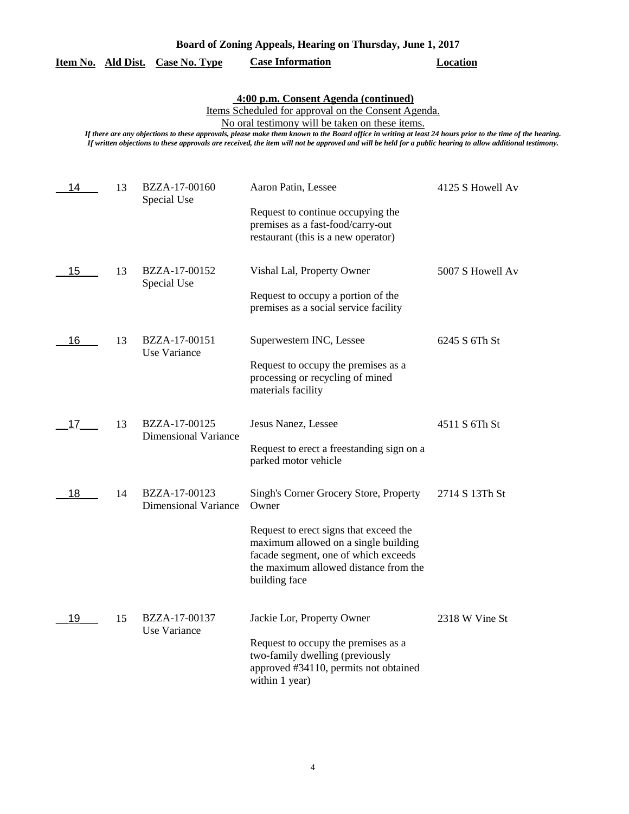### **Item No. Ald Dist. Case No. Type Case Information Location**

## **4:00 p.m. Consent Agenda (continued)**

Items Scheduled for approval on the Consent Agenda.

No oral testimony will be taken on these items.

| 14 | 13 | BZZA-17-00160<br>Special Use                 | Aaron Patin, Lessee                                                                                                                                                              | 4125 S Howell Av |
|----|----|----------------------------------------------|----------------------------------------------------------------------------------------------------------------------------------------------------------------------------------|------------------|
|    |    |                                              | Request to continue occupying the<br>premises as a fast-food/carry-out<br>restaurant (this is a new operator)                                                                    |                  |
| 15 | 13 | BZZA-17-00152<br>Special Use                 | Vishal Lal, Property Owner                                                                                                                                                       | 5007 S Howell Av |
|    |    |                                              | Request to occupy a portion of the<br>premises as a social service facility                                                                                                      |                  |
| 16 | 13 | BZZA-17-00151<br>Use Variance                | Superwestern INC, Lessee                                                                                                                                                         | 6245 S 6Th St    |
|    |    |                                              | Request to occupy the premises as a<br>processing or recycling of mined<br>materials facility                                                                                    |                  |
| 17 | 13 | BZZA-17-00125<br><b>Dimensional Variance</b> | Jesus Nanez, Lessee                                                                                                                                                              | 4511 S 6Th St    |
|    |    |                                              | Request to erect a freestanding sign on a<br>parked motor vehicle                                                                                                                |                  |
| 18 | 14 | BZZA-17-00123<br><b>Dimensional Variance</b> | Singh's Corner Grocery Store, Property<br>Owner                                                                                                                                  | 2714 S 13Th St   |
|    |    |                                              | Request to erect signs that exceed the<br>maximum allowed on a single building<br>facade segment, one of which exceeds<br>the maximum allowed distance from the<br>building face |                  |
| 19 | 15 | BZZA-17-00137<br>Use Variance                | Jackie Lor, Property Owner                                                                                                                                                       | 2318 W Vine St   |
|    |    |                                              | Request to occupy the premises as a<br>two-family dwelling (previously<br>approved #34110, permits not obtained<br>within 1 year)                                                |                  |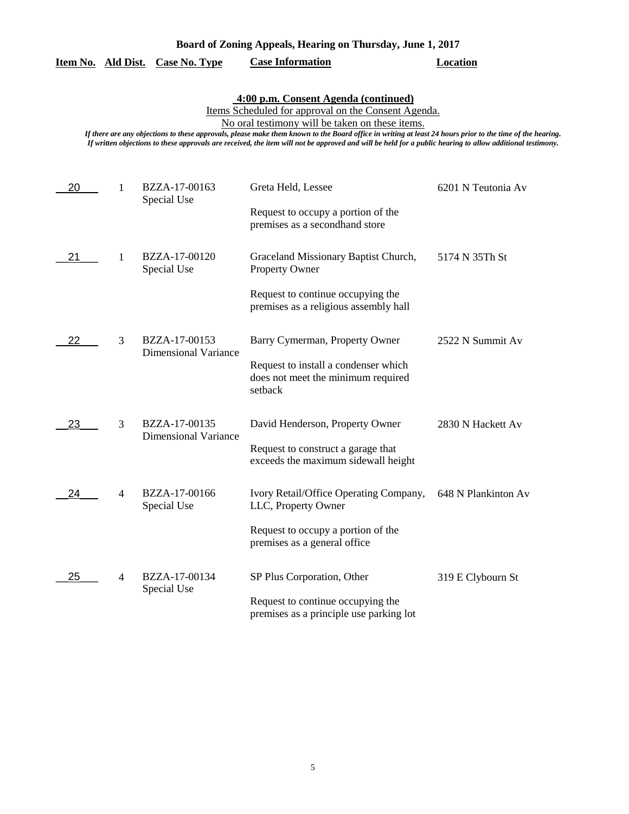## **Item No. Ald Dist. Case No. Type Case Information Location**

# **4:00 p.m. Consent Agenda (continued)**

Items Scheduled for approval on the Consent Agenda.

No oral testimony will be taken on these items.

| 20 | 1              | BZZA-17-00163<br>Special Use                 | Greta Held, Lessee<br>Request to occupy a portion of the<br>premises as a secondhand store                                                  | 6201 N Teutonia Av  |
|----|----------------|----------------------------------------------|---------------------------------------------------------------------------------------------------------------------------------------------|---------------------|
| 21 | 1              | BZZA-17-00120<br>Special Use                 | Graceland Missionary Baptist Church,<br><b>Property Owner</b><br>Request to continue occupying the<br>premises as a religious assembly hall | 5174 N 35Th St      |
| 22 | 3              | BZZA-17-00153<br><b>Dimensional Variance</b> | Barry Cymerman, Property Owner<br>Request to install a condenser which<br>does not meet the minimum required<br>setback                     | 2522 N Summit Av    |
| 23 | 3              | BZZA-17-00135<br><b>Dimensional Variance</b> | David Henderson, Property Owner<br>Request to construct a garage that<br>exceeds the maximum sidewall height                                | 2830 N Hackett Av   |
| 24 | $\overline{4}$ | BZZA-17-00166<br>Special Use                 | Ivory Retail/Office Operating Company,<br>LLC, Property Owner<br>Request to occupy a portion of the<br>premises as a general office         | 648 N Plankinton Av |
| 25 | 4              | BZZA-17-00134<br>Special Use                 | SP Plus Corporation, Other<br>Request to continue occupying the<br>premises as a principle use parking lot                                  | 319 E Clybourn St   |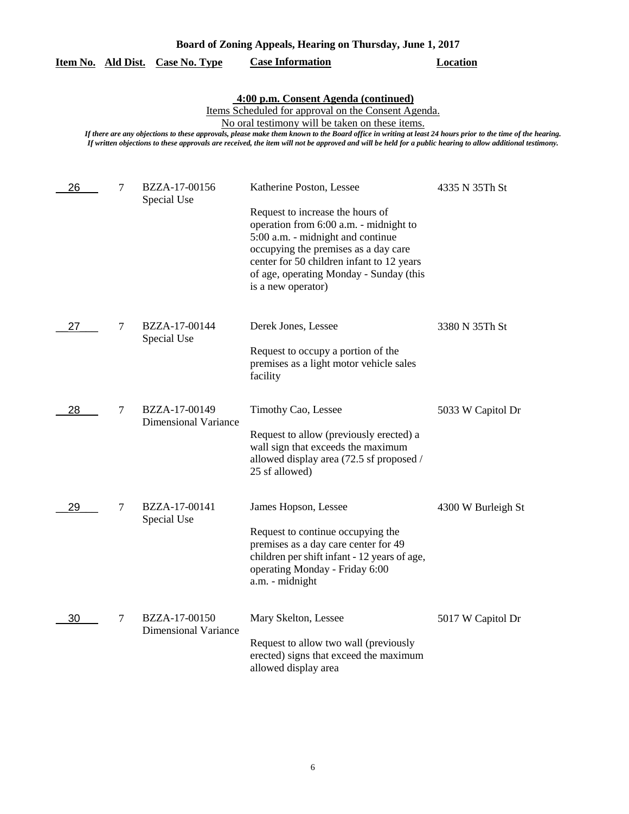| Board of Zoning Appeals, Hearing on Thursday, June 1, 2017 |  |  |  |  |
|------------------------------------------------------------|--|--|--|--|
|------------------------------------------------------------|--|--|--|--|

|  |  | Item No. Ald Dist. Case No. Type | <b>Case Information</b> | Location |
|--|--|----------------------------------|-------------------------|----------|
|--|--|----------------------------------|-------------------------|----------|

|  | 4:00 p.m. Consent Agenda (continued) |  |
|--|--------------------------------------|--|
|  |                                      |  |

Items Scheduled for approval on the Consent Agenda.

No oral testimony will be taken on these items.

| 26 | $\overline{7}$ | BZZA-17-00156<br>Special Use                 | Katherine Poston, Lessee<br>Request to increase the hours of<br>operation from 6:00 a.m. - midnight to<br>5:00 a.m. - midnight and continue<br>occupying the premises as a day care<br>center for 50 children infant to 12 years<br>of age, operating Monday - Sunday (this | 4335 N 35Th St     |
|----|----------------|----------------------------------------------|-----------------------------------------------------------------------------------------------------------------------------------------------------------------------------------------------------------------------------------------------------------------------------|--------------------|
|    |                |                                              | is a new operator)                                                                                                                                                                                                                                                          |                    |
| 27 | 7              | BZZA-17-00144<br>Special Use                 | Derek Jones, Lessee<br>Request to occupy a portion of the<br>premises as a light motor vehicle sales<br>facility                                                                                                                                                            | 3380 N 35Th St     |
| 28 | $\tau$         | BZZA-17-00149<br><b>Dimensional Variance</b> | Timothy Cao, Lessee<br>Request to allow (previously erected) a<br>wall sign that exceeds the maximum<br>allowed display area (72.5 sf proposed /<br>25 sf allowed)                                                                                                          | 5033 W Capitol Dr  |
| 29 | 7              | BZZA-17-00141<br>Special Use                 | James Hopson, Lessee<br>Request to continue occupying the<br>premises as a day care center for 49<br>children per shift infant - 12 years of age,<br>operating Monday - Friday 6:00<br>a.m. - midnight                                                                      | 4300 W Burleigh St |
| 30 | 7              | BZZA-17-00150<br><b>Dimensional Variance</b> | Mary Skelton, Lessee<br>Request to allow two wall (previously<br>erected) signs that exceed the maximum<br>allowed display area                                                                                                                                             | 5017 W Capitol Dr  |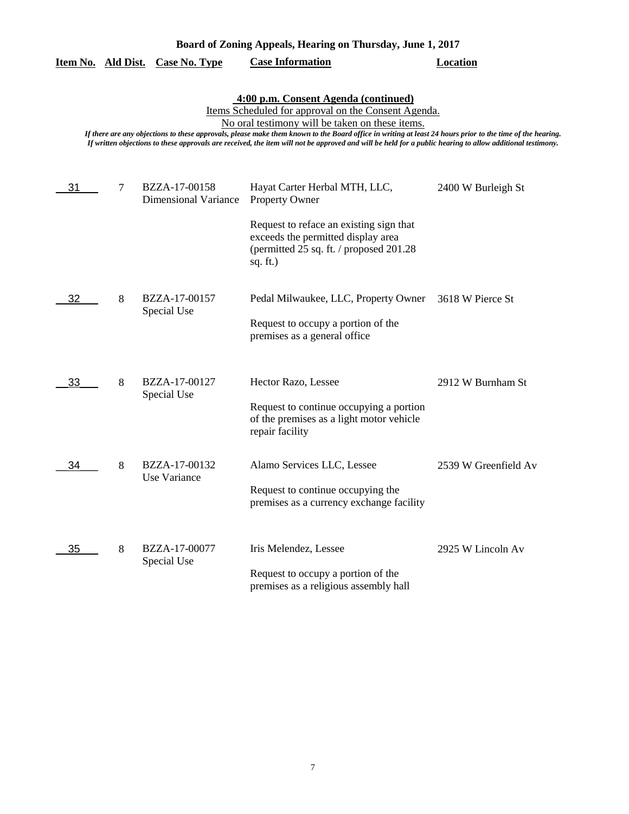|    |   |                                       | 4:00 p.m. Consent Agenda (continued)<br>Items Scheduled for approval on the Consent Agenda.<br>No oral testimony will be taken on these items.<br>If there are any objections to these approvals, please make them known to the Board office in writing at least 24 hours prior to the time of the hearing.<br>If written objections to these approvals are received, the item will not be approved and will be held for a public hearing to allow additional testimony. |                      |
|----|---|---------------------------------------|--------------------------------------------------------------------------------------------------------------------------------------------------------------------------------------------------------------------------------------------------------------------------------------------------------------------------------------------------------------------------------------------------------------------------------------------------------------------------|----------------------|
| 31 | 7 | BZZA-17-00158<br>Dimensional Variance | Hayat Carter Herbal MTH, LLC,<br><b>Property Owner</b>                                                                                                                                                                                                                                                                                                                                                                                                                   | 2400 W Burleigh St   |
|    |   |                                       | Request to reface an existing sign that<br>exceeds the permitted display area<br>(permitted 25 sq. ft. / proposed 201.28)<br>sq. $ft.$ )                                                                                                                                                                                                                                                                                                                                 |                      |
| 32 | 8 | BZZA-17-00157<br>Special Use          | Pedal Milwaukee, LLC, Property Owner 3618 W Pierce St<br>Request to occupy a portion of the<br>premises as a general office                                                                                                                                                                                                                                                                                                                                              |                      |
| 33 | 8 | BZZA-17-00127<br>Special Use          | Hector Razo, Lessee<br>Request to continue occupying a portion<br>of the premises as a light motor vehicle<br>repair facility                                                                                                                                                                                                                                                                                                                                            | 2912 W Burnham St    |
| 34 | 8 | BZZA-17-00132<br>Use Variance         | Alamo Services LLC, Lessee<br>Request to continue occupying the<br>premises as a currency exchange facility                                                                                                                                                                                                                                                                                                                                                              | 2539 W Greenfield Av |
| 35 | 8 | BZZA-17-00077<br>Special Use          | Iris Melendez, Lessee<br>Request to occupy a portion of the<br>premises as a religious assembly hall                                                                                                                                                                                                                                                                                                                                                                     | 2925 W Lincoln Av    |

**Item No. Ald Dist. Case No. Type Case Information Location**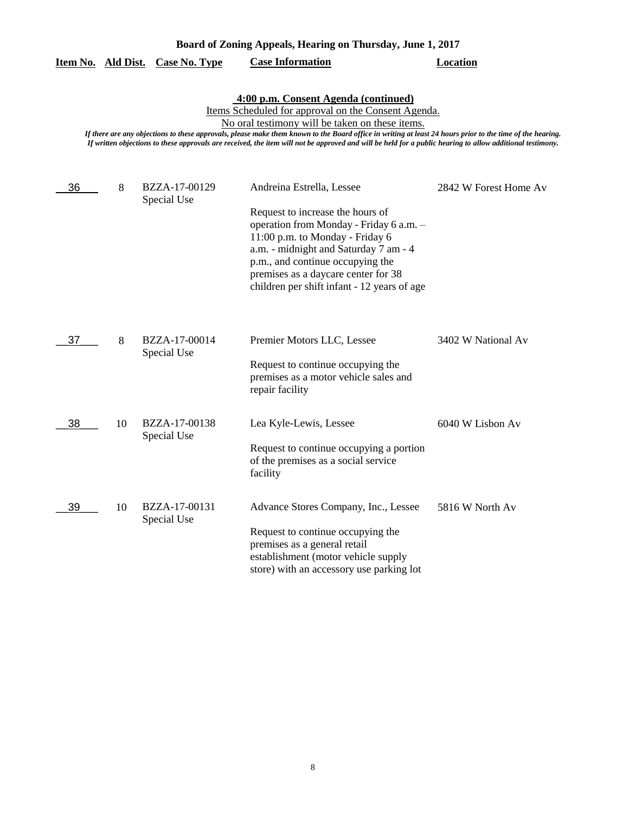| Board of Zoning Appeals, Hearing on Thursday, June 1, 2017 |  |  |  |  |
|------------------------------------------------------------|--|--|--|--|
|------------------------------------------------------------|--|--|--|--|

|  |  | Item No. Ald Dist. Case No. Type | <b>Case Information</b> | Location |
|--|--|----------------------------------|-------------------------|----------|
|--|--|----------------------------------|-------------------------|----------|

# **4:00 p.m. Consent Agenda (continued)**

Items Scheduled for approval on the Consent Agenda.

No oral testimony will be taken on these items.

| 36 | 8  | BZZA-17-00129<br>Special Use | Andreina Estrella, Lessee                                                                                                                                                                                                                                                         | 2842 W Forest Home Av |
|----|----|------------------------------|-----------------------------------------------------------------------------------------------------------------------------------------------------------------------------------------------------------------------------------------------------------------------------------|-----------------------|
|    |    |                              | Request to increase the hours of<br>operation from Monday - Friday 6 a.m. -<br>11:00 p.m. to Monday - Friday 6<br>a.m. - midnight and Saturday 7 am - 4<br>p.m., and continue occupying the<br>premises as a daycare center for 38<br>children per shift infant - 12 years of age |                       |
| 37 | 8  | BZZA-17-00014<br>Special Use | Premier Motors LLC, Lessee                                                                                                                                                                                                                                                        | 3402 W National Av    |
|    |    |                              | Request to continue occupying the<br>premises as a motor vehicle sales and<br>repair facility                                                                                                                                                                                     |                       |
| 38 | 10 | BZZA-17-00138<br>Special Use | Lea Kyle-Lewis, Lessee                                                                                                                                                                                                                                                            | 6040 W Lisbon Av      |
|    |    |                              | Request to continue occupying a portion<br>of the premises as a social service<br>facility                                                                                                                                                                                        |                       |
| 39 | 10 | BZZA-17-00131<br>Special Use | Advance Stores Company, Inc., Lessee                                                                                                                                                                                                                                              | 5816 W North Av       |
|    |    |                              | Request to continue occupying the<br>premises as a general retail<br>establishment (motor vehicle supply<br>store) with an accessory use parking lot                                                                                                                              |                       |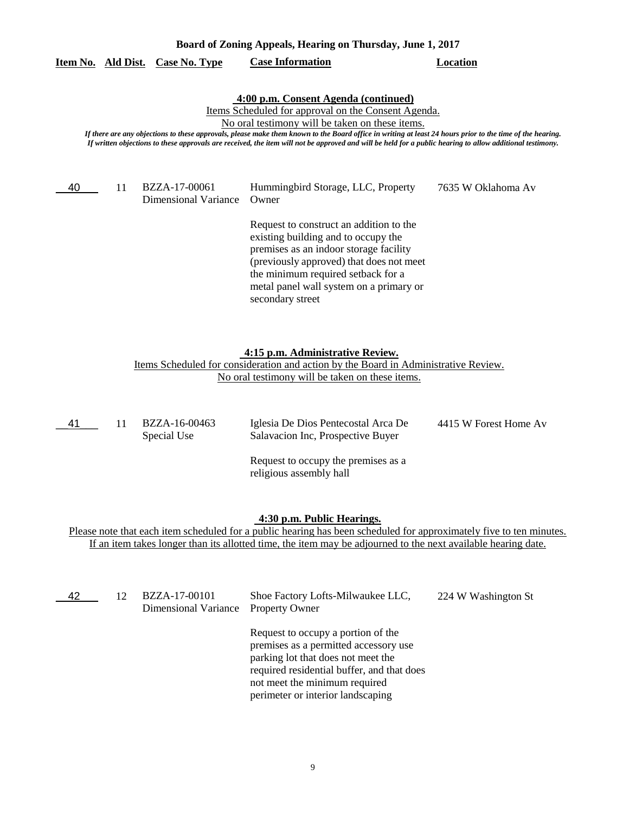| Item No. | Ald Dist. | <b>Case No. Type</b>                  | <b>Case Information</b>                                                                                                                                                                                                                                                                                                                                                                                                                                                  | Location           |
|----------|-----------|---------------------------------------|--------------------------------------------------------------------------------------------------------------------------------------------------------------------------------------------------------------------------------------------------------------------------------------------------------------------------------------------------------------------------------------------------------------------------------------------------------------------------|--------------------|
|          |           |                                       | 4:00 p.m. Consent Agenda (continued)<br>Items Scheduled for approval on the Consent Agenda.<br>No oral testimony will be taken on these items.<br>If there are any objections to these approvals, please make them known to the Board office in writing at least 24 hours prior to the time of the hearing.<br>If written objections to these approvals are received, the item will not be approved and will be held for a public hearing to allow additional testimony. |                    |
| 40       | 11        | BZZA-17-00061<br>Dimensional Variance | Hummingbird Storage, LLC, Property<br>Owner                                                                                                                                                                                                                                                                                                                                                                                                                              | 7635 W Oklahoma Av |
|          |           |                                       | Request to construct an addition to the<br>existing building and to occupy the<br>premises as an indoor storage facility<br>(previously approved) that does not meet<br>the minimum required setback for a<br>metal panel wall system on a primary or<br>secondary street                                                                                                                                                                                                |                    |

**Board of Zoning Appeals, Hearing on Thursday, June 1, 2017** 

### **4:15 p.m. Administrative Review.**

Items Scheduled for consideration and action by the Board in Administrative Review. No oral testimony will be taken on these items.

| __41_ | BZZA-16-00463<br>Special Use | Iglesia De Dios Pentecostal Arca De<br>Salavacion Inc, Prospective Buyer | 4415 W Forest Home Av |
|-------|------------------------------|--------------------------------------------------------------------------|-----------------------|
|       |                              | Request to occupy the premises as a<br>religious assembly hall           |                       |

#### **4:30 p.m. Public Hearings.**

Please note that each item scheduled for a public hearing has been scheduled for approximately five to ten minutes. If an item takes longer than its allotted time, the item may be adjourned to the next available hearing date.

\_\_42\_\_\_ 12

BZZA-17-00101 Shoe Factory Lofts-Milwaukee LLC, 224 W Washington St Property Owner Dimensional Variance

Request to occupy a portion of the premises as a permitted accessory use parking lot that does not meet the required residential buffer, and that does not meet the minimum required perimeter or interior landscaping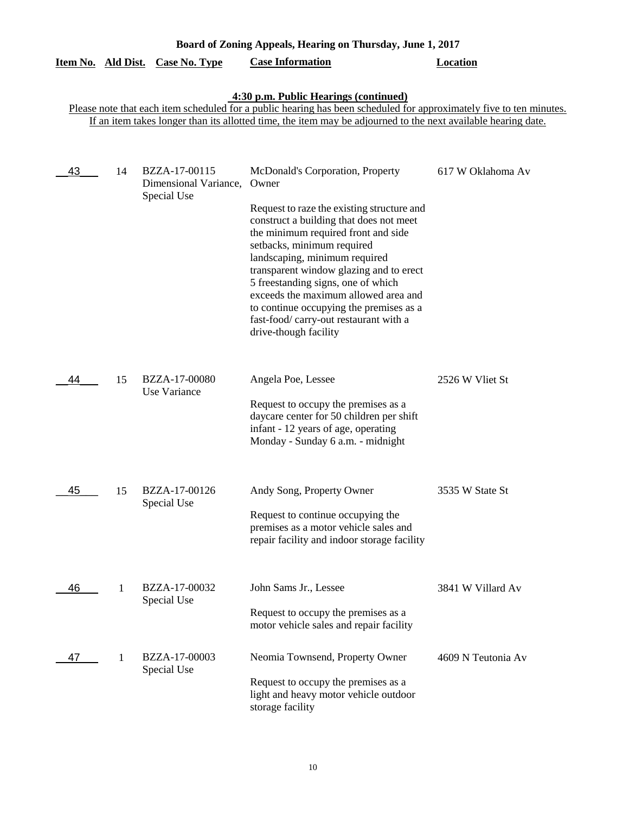| Board of Zoning Appeals, Hearing on Thursday, June 1, 2017 |    |                                                       |                                                                                                                                                                                                                                                                                                                                                                                                                                                                                |                    |  |
|------------------------------------------------------------|----|-------------------------------------------------------|--------------------------------------------------------------------------------------------------------------------------------------------------------------------------------------------------------------------------------------------------------------------------------------------------------------------------------------------------------------------------------------------------------------------------------------------------------------------------------|--------------------|--|
| Item No. Ald Dist.                                         |    | Case No. Type                                         | <b>Case Information</b>                                                                                                                                                                                                                                                                                                                                                                                                                                                        | <b>Location</b>    |  |
|                                                            |    |                                                       | 4:30 p.m. Public Hearings (continued)<br>Please note that each item scheduled for a public hearing has been scheduled for approximately five to ten minutes.<br>If an item takes longer than its allotted time, the item may be adjourned to the next available hearing date.                                                                                                                                                                                                  |                    |  |
| 43                                                         | 14 | BZZA-17-00115<br>Dimensional Variance,<br>Special Use | McDonald's Corporation, Property<br>Owner<br>Request to raze the existing structure and<br>construct a building that does not meet<br>the minimum required front and side<br>setbacks, minimum required<br>landscaping, minimum required<br>transparent window glazing and to erect<br>5 freestanding signs, one of which<br>exceeds the maximum allowed area and<br>to continue occupying the premises as a<br>fast-food/carry-out restaurant with a<br>drive-though facility | 617 W Oklahoma Av  |  |
| 44                                                         | 15 | BZZA-17-00080<br>Use Variance                         | Angela Poe, Lessee<br>Request to occupy the premises as a<br>daycare center for 50 children per shift<br>infant - 12 years of age, operating<br>Monday - Sunday 6 a.m. - midnight                                                                                                                                                                                                                                                                                              | 2526 W Vliet St    |  |
| 45                                                         | 15 | BZZA-17-00126<br>Special Use                          | Andy Song, Property Owner<br>Request to continue occupying the<br>premises as a motor vehicle sales and<br>repair facility and indoor storage facility                                                                                                                                                                                                                                                                                                                         | 3535 W State St    |  |
| 46                                                         | 1  | BZZA-17-00032<br>Special Use                          | John Sams Jr., Lessee<br>Request to occupy the premises as a<br>motor vehicle sales and repair facility                                                                                                                                                                                                                                                                                                                                                                        | 3841 W Villard Av  |  |
| 47                                                         | -1 | BZZA-17-00003<br>Special Use                          | Neomia Townsend, Property Owner<br>Request to occupy the premises as a<br>light and heavy motor vehicle outdoor<br>storage facility                                                                                                                                                                                                                                                                                                                                            | 4609 N Teutonia Av |  |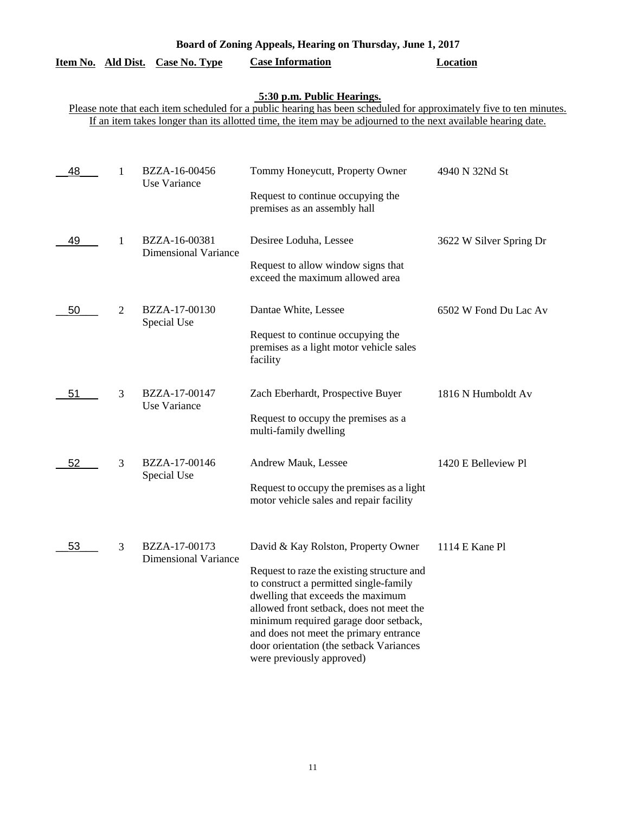| Board of Zoning Appeals, Hearing on Thursday, June 1, 2017 |  |  |  |
|------------------------------------------------------------|--|--|--|
|------------------------------------------------------------|--|--|--|

|  | Item No. Ald Dist. Case No. Type | <b>Case Information</b> | <b>Location</b> |
|--|----------------------------------|-------------------------|-----------------|
|  |                                  |                         |                 |

#### **5:30 p.m. Public Hearings.**

Please note that each item scheduled for a public hearing has been scheduled for approximately five to ten minutes. If an item takes longer than its allotted time, the item may be adjourned to the next available hearing date.

| 48 | 1              | BZZA-16-00456<br>Use Variance                | Tommy Honeycutt, Property Owner<br>Request to continue occupying the<br>premises as an assembly hall                                                                                                                                                                                                                                                                    | 4940 N 32Nd St          |
|----|----------------|----------------------------------------------|-------------------------------------------------------------------------------------------------------------------------------------------------------------------------------------------------------------------------------------------------------------------------------------------------------------------------------------------------------------------------|-------------------------|
| 49 | 1              | BZZA-16-00381<br><b>Dimensional Variance</b> | Desiree Loduha, Lessee<br>Request to allow window signs that<br>exceed the maximum allowed area                                                                                                                                                                                                                                                                         | 3622 W Silver Spring Dr |
| 50 | $\overline{2}$ | BZZA-17-00130<br>Special Use                 | Dantae White, Lessee<br>Request to continue occupying the<br>premises as a light motor vehicle sales<br>facility                                                                                                                                                                                                                                                        | 6502 W Fond Du Lac Av   |
| 51 | 3              | BZZA-17-00147<br>Use Variance                | Zach Eberhardt, Prospective Buyer<br>Request to occupy the premises as a<br>multi-family dwelling                                                                                                                                                                                                                                                                       | 1816 N Humboldt Av      |
| 52 | 3              | BZZA-17-00146<br>Special Use                 | Andrew Mauk, Lessee<br>Request to occupy the premises as a light<br>motor vehicle sales and repair facility                                                                                                                                                                                                                                                             | 1420 E Belleview Pl     |
| 53 | 3              | BZZA-17-00173<br><b>Dimensional Variance</b> | David & Kay Rolston, Property Owner<br>Request to raze the existing structure and<br>to construct a permitted single-family<br>dwelling that exceeds the maximum<br>allowed front setback, does not meet the<br>minimum required garage door setback,<br>and does not meet the primary entrance<br>door orientation (the setback Variances<br>were previously approved) | 1114 E Kane Pl          |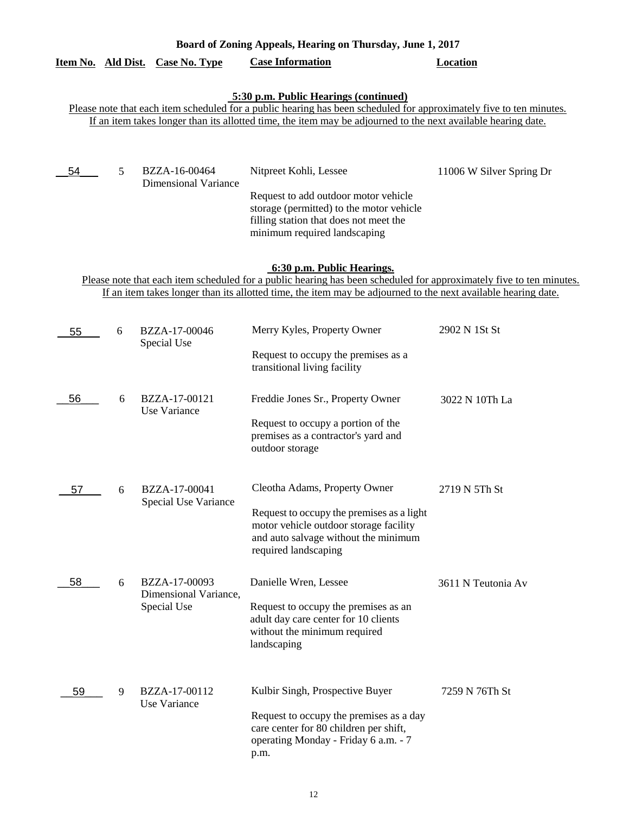| Board of Zoning Appeals, Hearing on Thursday, June 1, 2017 |   |                                                                     |                                                                                                                                                                                                                                      |                          |  |
|------------------------------------------------------------|---|---------------------------------------------------------------------|--------------------------------------------------------------------------------------------------------------------------------------------------------------------------------------------------------------------------------------|--------------------------|--|
| Item No. Ald Dist.                                         |   | <b>Case No. Type</b>                                                | <b>Case Information</b>                                                                                                                                                                                                              | <b>Location</b>          |  |
|                                                            |   |                                                                     | 5:30 p.m. Public Hearings (continued)<br>Please note that each item scheduled for a public hearing has been scheduled for approximately five to ten minutes.                                                                         |                          |  |
|                                                            |   |                                                                     | If an item takes longer than its allotted time, the item may be adjourned to the next available hearing date.                                                                                                                        |                          |  |
| 54                                                         | 5 | BZZA-16-00464                                                       | Nitpreet Kohli, Lessee                                                                                                                                                                                                               | 11006 W Silver Spring Dr |  |
|                                                            |   | <b>Dimensional Variance</b>                                         | Request to add outdoor motor vehicle<br>storage (permitted) to the motor vehicle<br>filling station that does not meet the<br>minimum required landscaping                                                                           |                          |  |
|                                                            |   |                                                                     | 6:30 p.m. Public Hearings.                                                                                                                                                                                                           |                          |  |
|                                                            |   |                                                                     | Please note that each item scheduled for a public hearing has been scheduled for approximately five to ten minutes.<br>If an item takes longer than its allotted time, the item may be adjourned to the next available hearing date. |                          |  |
|                                                            |   |                                                                     |                                                                                                                                                                                                                                      |                          |  |
| 55                                                         | 6 | BZZA-17-00046<br>Special Use                                        | Merry Kyles, Property Owner                                                                                                                                                                                                          | 2902 N 1St St            |  |
|                                                            |   | Request to occupy the premises as a<br>transitional living facility |                                                                                                                                                                                                                                      |                          |  |
| 56                                                         | 6 | BZZA-17-00121<br>Use Variance                                       | Freddie Jones Sr., Property Owner                                                                                                                                                                                                    | 3022 N 10Th La           |  |
|                                                            |   |                                                                     | Request to occupy a portion of the<br>premises as a contractor's yard and<br>outdoor storage                                                                                                                                         |                          |  |
| 57                                                         | 6 | BZZA-17-00041<br>Special Use Variance                               | Cleotha Adams, Property Owner                                                                                                                                                                                                        | 2719 N 5Th St            |  |
|                                                            |   |                                                                     | Request to occupy the premises as a light<br>motor vehicle outdoor storage facility<br>and auto salvage without the minimum<br>required landscaping                                                                                  |                          |  |
| 58                                                         | 6 | BZZA-17-00093<br>Dimensional Variance,                              | Danielle Wren, Lessee                                                                                                                                                                                                                | 3611 N Teutonia Av       |  |
|                                                            |   | Special Use                                                         | Request to occupy the premises as an<br>adult day care center for 10 clients<br>without the minimum required<br>landscaping                                                                                                          |                          |  |
| 59                                                         | 9 | BZZA-17-00112<br><b>Use Variance</b>                                | Kulbir Singh, Prospective Buyer<br>Request to occupy the premises as a day<br>care center for 80 children per shift,                                                                                                                 | 7259 N 76Th St           |  |
|                                                            |   |                                                                     | operating Monday - Friday 6 a.m. - 7<br>p.m.                                                                                                                                                                                         |                          |  |